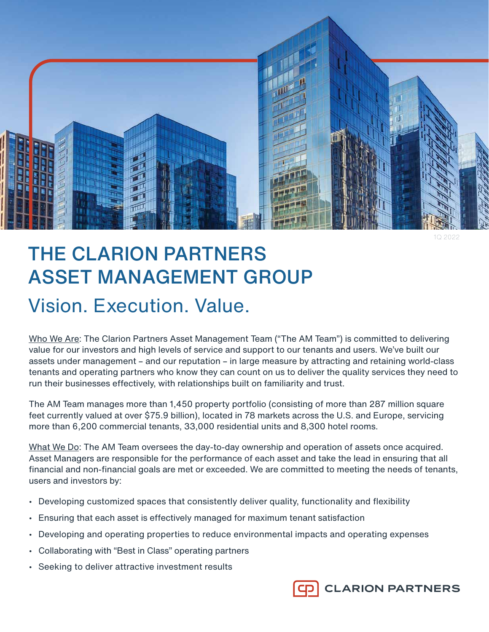

1Q 2022

# THE CLARION PARTNERS ASSET MANAGEMENT GROUP Vision. Execution. Value.

Who We Are: The Clarion Partners Asset Management Team ("The AM Team") is committed to delivering value for our investors and high levels of service and support to our tenants and users. We've built our assets under management – and our reputation – in large measure by attracting and retaining world-class tenants and operating partners who know they can count on us to deliver the quality services they need to run their businesses effectively, with relationships built on familiarity and trust.

The AM Team manages more than 1,450 property portfolio (consisting of more than 287 million square feet currently valued at over \$75.9 billion), located in 78 markets across the U.S. and Europe, servicing more than 6,200 commercial tenants, 33,000 residential units and 8,300 hotel rooms.

What We Do: The AM Team oversees the day-to-day ownership and operation of assets once acquired. Asset Managers are responsible for the performance of each asset and take the lead in ensuring that all financial and non-financial goals are met or exceeded. We are committed to meeting the needs of tenants, users and investors by:

- Developing customized spaces that consistently deliver quality, functionality and flexibility
- Ensuring that each asset is effectively managed for maximum tenant satisfaction
- Developing and operating properties to reduce environmental impacts and operating expenses
- Collaborating with "Best in Class" operating partners
- Seeking to deliver attractive investment results

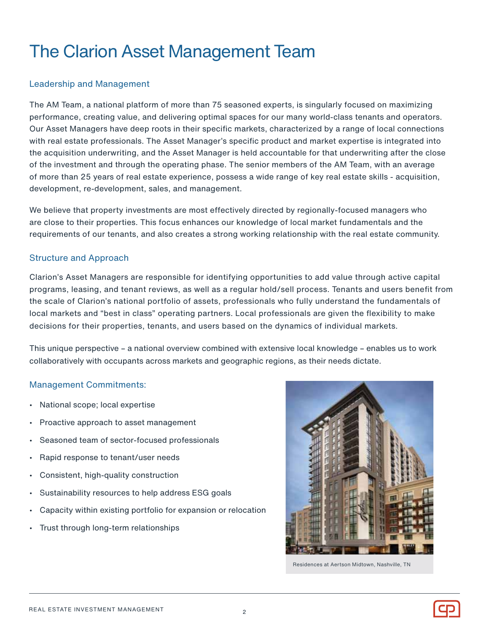# The Clarion Asset Management Team

#### Leadership and Management

The AM Team, a national platform of more than 75 seasoned experts, is singularly focused on maximizing performance, creating value, and delivering optimal spaces for our many world-class tenants and operators. Our Asset Managers have deep roots in their specific markets, characterized by a range of local connections with real estate professionals. The Asset Manager's specific product and market expertise is integrated into the acquisition underwriting, and the Asset Manager is held accountable for that underwriting after the close of the investment and through the operating phase. The senior members of the AM Team, with an average of more than 25 years of real estate experience, possess a wide range of key real estate skills - acquisition, development, re-development, sales, and management.

We believe that property investments are most effectively directed by regionally-focused managers who are close to their properties. This focus enhances our knowledge of local market fundamentals and the requirements of our tenants, and also creates a strong working relationship with the real estate community.

#### Structure and Approach

Clarion's Asset Managers are responsible for identifying opportunities to add value through active capital programs, leasing, and tenant reviews, as well as a regular hold/sell process. Tenants and users benefit from the scale of Clarion's national portfolio of assets, professionals who fully understand the fundamentals of local markets and "best in class" operating partners. Local professionals are given the flexibility to make decisions for their properties, tenants, and users based on the dynamics of individual markets.

This unique perspective – a national overview combined with extensive local knowledge – enables us to work collaboratively with occupants across markets and geographic regions, as their needs dictate.

#### Management Commitments:

- National scope; local expertise
- Proactive approach to asset management
- Seasoned team of sector-focused professionals
- Rapid response to tenant/user needs
- Consistent, high-quality construction
- Sustainability resources to help address ESG goals
- Capacity within existing portfolio for expansion or relocation
- Trust through long-term relationships



Residences at Aertson Midtown, Nashville, TN